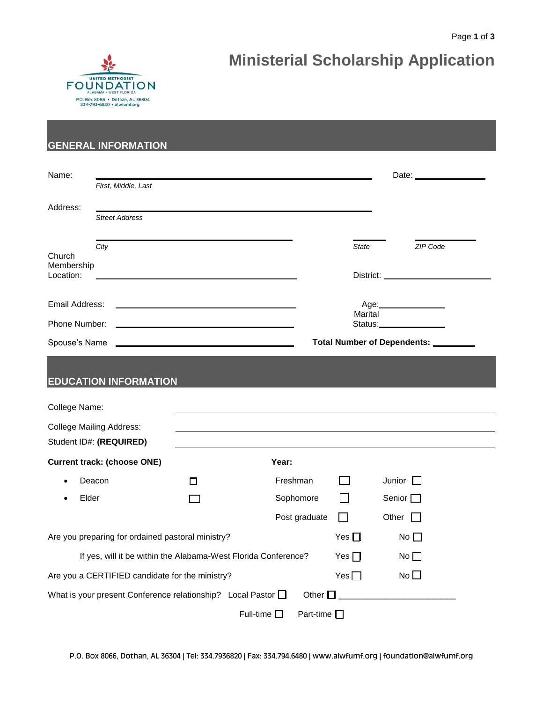# **Ministerial Scholarship Application**



# **GENERAL INFORMATION**

| Name:                                                                        |                                                                |            |                                 |              | Date: ________________                           |  |  |
|------------------------------------------------------------------------------|----------------------------------------------------------------|------------|---------------------------------|--------------|--------------------------------------------------|--|--|
|                                                                              | First, Middle, Last                                            |            |                                 |              |                                                  |  |  |
| Address:                                                                     |                                                                |            |                                 |              |                                                  |  |  |
|                                                                              | <b>Street Address</b>                                          |            |                                 |              |                                                  |  |  |
| Church<br>Membership<br>Location:                                            | City                                                           |            |                                 | <b>State</b> | ZIP Code<br>District: __________________________ |  |  |
| Email Address:                                                               |                                                                |            | Age:________________<br>Marital |              |                                                  |  |  |
| Phone Number:                                                                |                                                                | Status:    |                                 |              |                                                  |  |  |
| Spouse's Name                                                                |                                                                |            | Total Number of Dependents: ___ |              |                                                  |  |  |
|                                                                              | <b>EDUCATION INFORMATION</b>                                   |            |                                 |              |                                                  |  |  |
| College Name:                                                                |                                                                |            |                                 |              |                                                  |  |  |
|                                                                              | <b>College Mailing Address:</b><br>Student ID#: (REQUIRED)     |            |                                 |              |                                                  |  |  |
| <b>Current track: (choose ONE)</b><br>Year:                                  |                                                                |            |                                 |              |                                                  |  |  |
|                                                                              | Deacon                                                         | П          | Freshman                        | <b>Tara</b>  | Junior $\square$                                 |  |  |
| Elder                                                                        |                                                                | $\sim 10$  | Sophomore                       |              | Senior $\square$                                 |  |  |
|                                                                              |                                                                |            | Post graduate                   |              | Other                                            |  |  |
|                                                                              | Are you preparing for ordained pastoral ministry?              | Yes $\Box$ | No $\square$                    |              |                                                  |  |  |
|                                                                              | If yes, will it be within the Alabama-West Florida Conference? |            | Yes $\Box$                      | No           |                                                  |  |  |
|                                                                              | Are you a CERTIFIED candidate for the ministry?                | Yes $\Box$ | No                              |              |                                                  |  |  |
| What is your present Conference relationship? Local Pastor O<br>Other $\Box$ |                                                                |            |                                 |              |                                                  |  |  |
| Full-time $\square$<br>Part-time $\square$                                   |                                                                |            |                                 |              |                                                  |  |  |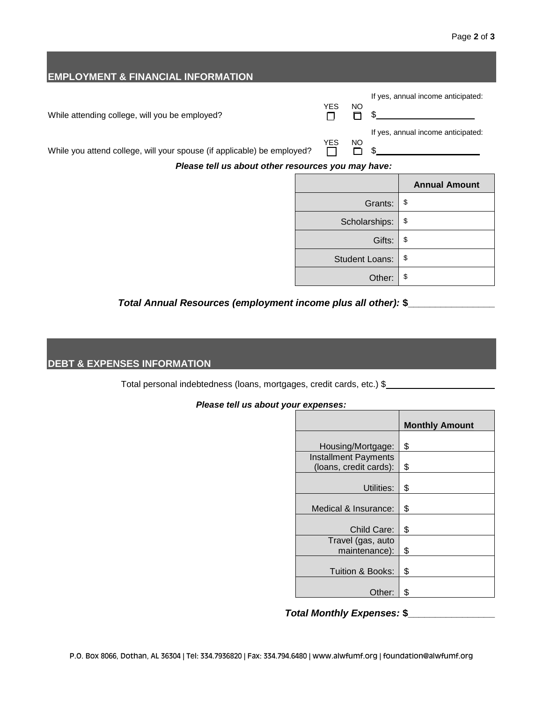| <b>EMPLOYMENT &amp; FINANCIAL INFORMATION</b>                           |                       |                   |                |         |                                    |
|-------------------------------------------------------------------------|-----------------------|-------------------|----------------|---------|------------------------------------|
|                                                                         |                       |                   |                |         | If yes, annual income anticipated: |
| While attending college, will you be employed?                          |                       | <b>YES</b><br>n l | <b>NO</b><br>Π |         |                                    |
| While you attend college, will your spouse (if applicable) be employed? |                       | <b>YES</b>        | NO             |         | If yes, annual income anticipated: |
| Please tell us about other resources you may have:                      |                       |                   |                |         |                                    |
|                                                                         |                       |                   |                |         | <b>Annual Amount</b>               |
|                                                                         |                       |                   |                | Grants: | \$                                 |
|                                                                         | Scholarships:         |                   |                | \$      |                                    |
|                                                                         | Gifts:                |                   |                | \$      |                                    |
|                                                                         | <b>Student Loans:</b> |                   |                | \$      |                                    |
|                                                                         | Other:                |                   |                | \$      |                                    |

## *Total Annual Resources (employment income plus all other):* **\$\_\_\_\_\_\_\_\_\_\_\_\_\_\_\_\_**

#### **DEBT & EXPENSES INFORMATION**

Total personal indebtedness (loans, mortgages, credit cards, etc.) \$\_\_\_\_\_\_\_\_\_\_\_\_\_\_\_\_\_\_\_

#### *Please tell us about your expenses:*

|                             | <b>Monthly Amount</b> |
|-----------------------------|-----------------------|
|                             |                       |
| Housing/Mortgage:           | \$                    |
| <b>Installment Payments</b> |                       |
| (loans, credit cards):      | \$                    |
|                             |                       |
| Utilities:                  | \$                    |
|                             |                       |
| Medical & Insurance:        | \$                    |
|                             |                       |
| Child Care:                 | \$                    |
| Travel (gas, auto           |                       |
| maintenance):               | \$                    |
|                             |                       |
| Tuition & Books:            | \$                    |
|                             |                       |
| Other:                      | \$                    |

# *Total Monthly Expenses:* **\$\_\_\_\_\_\_\_\_\_\_\_\_\_\_\_\_**